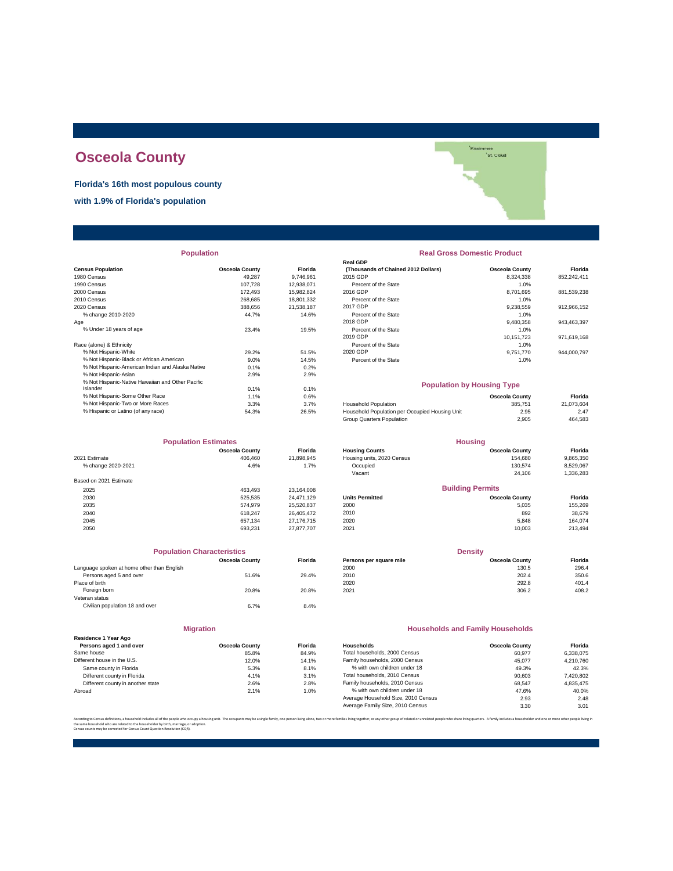# **Osceola County**

**Florida's 16th most populous county**

**with 1.9% of Florida's population**

**Population** 

|                                                  |                       |                | <b>Real GDP</b>                                |                       |             |
|--------------------------------------------------|-----------------------|----------------|------------------------------------------------|-----------------------|-------------|
| <b>Census Population</b>                         | <b>Osceola County</b> | <b>Florida</b> | (Thousands of Chained 2012 Dollars)            | <b>Osceola County</b> | Florida     |
| 1980 Census                                      | 49.287                | 9,746,961      | 2015 GDP                                       | 8,324,338             | 852,242,411 |
| 1990 Census                                      | 107.728               | 12,938,071     | Percent of the State                           | 1.0%                  |             |
| 2000 Census                                      | 172.493               | 15.982.824     | 2016 GDP                                       | 8.701.695             | 881,539,238 |
| 2010 Census                                      | 268.685               | 18,801,332     | Percent of the State                           | 1.0%                  |             |
| 2020 Census                                      | 388,656               | 21,538,187     | 2017 GDP                                       | 9,238,559             | 912,966,152 |
| % change 2010-2020                               | 44.7%                 | 14.6%          | Percent of the State                           | 1.0%                  |             |
| Age                                              |                       |                | 2018 GDP                                       | 9,480,358             | 943,463,397 |
| % Under 18 years of age                          | 23.4%                 | 19.5%          | Percent of the State                           | 1.0%                  |             |
|                                                  |                       |                | 2019 GDP                                       | 10,151,723            | 971,619,168 |
| Race (alone) & Ethnicity                         |                       |                | Percent of the State                           | 1.0%                  |             |
| % Not Hispanic-White                             | 29.2%                 | 51.5%          | 2020 GDP                                       | 9,751,770             | 944,000,797 |
| % Not Hispanic-Black or African American         | 9.0%                  | 14.5%          | Percent of the State                           | 1.0%                  |             |
| % Not Hispanic-American Indian and Alaska Native | 0.1%                  | 0.2%           |                                                |                       |             |
| % Not Hispanic-Asian                             | 2.9%                  | 2.9%           |                                                |                       |             |
| % Not Hispanic-Native Hawaiian and Other Pacific |                       |                | <b>Population by Housing Type</b>              |                       |             |
| Islander                                         | 0.1%                  | 0.1%           |                                                |                       |             |
| % Not Hispanic-Some Other Race                   | 1.1%                  | 0.6%           |                                                | <b>Osceola County</b> | Florida     |
| % Not Hispanic-Two or More Races                 | 3.3%                  | 3.7%           | <b>Household Population</b>                    | 385.751               | 21,073,604  |
| % Hispanic or Latino (of any race)               | 54.3%                 | 26.5%          | Household Population per Occupied Housing Unit | 2.95                  | 2.47        |
|                                                  |                       |                |                                                |                       |             |

|                        | <b>Population Estimates</b><br><b>Housing</b> |                |                            |                         |           |
|------------------------|-----------------------------------------------|----------------|----------------------------|-------------------------|-----------|
|                        | <b>Osceola County</b>                         | <b>Florida</b> | <b>Housing Counts</b>      | <b>Osceola County</b>   | Florida   |
| 2021 Estimate          | 406.460                                       | 21,898,945     | Housing units, 2020 Census | 154,680                 | 9,865,350 |
| % change 2020-2021     | 4.6%                                          | 1.7%           | Occupied                   | 130.574                 | 8,529,067 |
|                        |                                               |                | Vacant                     | 24.106                  | 1,336,283 |
| Based on 2021 Estimate |                                               |                |                            |                         |           |
| 2025                   | 463.493                                       | 23,164,008     |                            | <b>Building Permits</b> |           |
| 2030                   | 525.535                                       | 24.471.129     | <b>Units Permitted</b>     | <b>Osceola County</b>   | Florida   |
| 2035                   | 574.979                                       | 25,520,837     | 2000                       | 5,035                   | 155,269   |
| 2040                   | 618.247                                       | 26.405.472     | 2010                       | 892                     | 38,679    |
| 2045                   | 657.134                                       | 27.176.715     | 2020                       | 5.848                   | 164.074   |
| 2050                   | 693.231                                       | 27.877.707     | 2021                       | 10.003                  | 213,494   |

| <b>Population Characteristics</b>          |                       |         |
|--------------------------------------------|-----------------------|---------|
|                                            | <b>Osceola County</b> | Florida |
| Language spoken at home other than English |                       |         |
| Persons aged 5 and over                    | 51.6%                 | 29.4%   |
| Place of birth                             |                       |         |
| Foreign born                               | 20.8%                 | 20.8%   |
| Veteran status                             |                       |         |
| Civilian population 18 and over            | 6.7%                  | 8.4%    |
|                                            |                       |         |

|                                                 | <b>Migration</b>      |        |
|-------------------------------------------------|-----------------------|--------|
| Residence 1 Year Ago<br>Persons aged 1 and over | <b>Osceola County</b> | Florio |
| Same house                                      | 85.8%                 | 84.9   |
| Different house in the U.S.                     | 12.0%                 | 14.1   |
| Same county in Florida                          | 5.3%                  | 8.1    |
| Different county in Florida                     | 4.1%                  | 3.1    |
| Different county in another state               | 2.6%                  | 2.8    |
| Abroad                                          | 2.1%                  | 1.0    |

| <b>Real Gross Domestic Product</b> |                       |  |  |  |  |
|------------------------------------|-----------------------|--|--|--|--|
| 2012 Dollars)                      | <b>Osceola County</b> |  |  |  |  |

Kissimmee<br>St. Cloud

parties.<br>Personalit

| sus Population                                   | <b>Osceola County</b> | Florida    | (Thousands of Chained 2012 Dollars) | <b>Osceola County</b> | Florida     |
|--------------------------------------------------|-----------------------|------------|-------------------------------------|-----------------------|-------------|
| 0 Census                                         | 49.287                | 9.746.961  | 2015 GDP                            | 8.324.338             | 852.242.411 |
| 0 Census                                         | 107.728               | 12.938.071 | Percent of the State                | 1.0%                  |             |
| 0 Census                                         | 172.493               | 15.982.824 | 2016 GDP                            | 8.701.695             | 881.539.238 |
| 0 Census                                         | 268.685               | 18.801.332 | Percent of the State                | 1.0%                  |             |
| 0 Census                                         | 388.656               | 21.538.187 | 2017 GDP                            | 9.238.559             | 912.966.152 |
| % change 2010-2020                               | 44.7%                 | 14.6%      | Percent of the State                | 1.0%                  |             |
|                                                  |                       |            | 2018 GDP                            | 9.480.358             | 943.463.397 |
| % Under 18 years of age                          | 23.4%                 | 19.5%      | Percent of the State                | 1.0%                  |             |
|                                                  |                       |            | 2019 GDP                            | 10.151.723            | 971.619.168 |
| e (alone) & Ethnicity                            |                       |            | Percent of the State                | 1.0%                  |             |
| % Not Hispanic-White                             | 29.2%                 | 51.5%      | 2020 GDP                            | 9.751.770             | 944.000.797 |
| % Not Hispanic-Black or African American         | 9.0%                  | 14.5%      | Percent of the State                | 1.0%                  |             |
| % Not Hispanic-American Indian and Alaska Native | 0.1%                  | 0.2%       |                                     |                       |             |

**Real GDP**

## **Population by Housing Type**

| % Not Hispanic-Some Other Race     | $.1\%$ | 0.6%  |                                                | <b>Osceola County</b> | Florida    |
|------------------------------------|--------|-------|------------------------------------------------|-----------------------|------------|
| % Not Hispanic-Two or More Races   | 3.3%   | 3.7%  | <b>Household Population</b>                    | 385.751               | 21.073.604 |
| % Hispanic or Latino (of any race) | 54.3%  | 26.5% | Household Population per Occupied Housing Unit | 2.95                  | 2.47       |
|                                    |        |       | Group Quarters Population                      | 2.905                 | 464.583    |
|                                    |        |       |                                                |                       |            |

|                        | <b>Population Estimates</b> |                |                            | <b>Housing</b>          |           |
|------------------------|-----------------------------|----------------|----------------------------|-------------------------|-----------|
|                        | <b>Osceola County</b>       | <b>Florida</b> | <b>Housing Counts</b>      | <b>Osceola County</b>   | Florida   |
| 2021 Estimate          | 406,460                     | 21.898.945     | Housing units, 2020 Census | 154,680                 | 9,865,350 |
| % change 2020-2021     | 4.6%                        | 1.7%           | Occupied                   | 130.574                 | 8,529,067 |
|                        |                             |                | Vacant                     | 24.106                  | 1,336,283 |
| Based on 2021 Estimate |                             |                |                            |                         |           |
| 2025                   | 463.493                     | 23.164.008     |                            | <b>Building Permits</b> |           |
| 2030                   | 525.535                     | 24.471.129     | <b>Units Permitted</b>     | <b>Osceola County</b>   | Florida   |
| 2035                   | 574.979                     | 25.520.837     | 2000                       | 5.035                   | 155,269   |
| 2040                   | 618,247                     | 26.405.472     | 2010                       | 892                     | 38,679    |
| 2045                   | 657.134                     | 27.176.715     | 2020                       | 5.848                   | 164.074   |
|                        |                             |                |                            |                         |           |

| <b>Population Characteristics</b>          |                       |         | <b>Density</b>          |                       |         |
|--------------------------------------------|-----------------------|---------|-------------------------|-----------------------|---------|
|                                            | <b>Osceola County</b> | Florida | Persons per square mile | <b>Osceola County</b> | Florida |
| Language spoken at home other than English |                       |         | 2000                    | 130.5                 | 296.4   |
| Persons aged 5 and over                    | 51.6%                 | 29.4%   | 2010                    | 202.4                 | 350.6   |
| Place of birth                             |                       |         | 2020                    | 292.8                 | 401.4   |
| Foreign born                               | 20.8%                 | 20.8%   | 2021                    | 306.2                 | 408.2   |
|                                            |                       |         |                         |                       |         |

## **Households and Family Households**

| <b>Osceola County</b> | <b>Florida</b> | Households                          | <b>Osceola County</b> | Florida   |
|-----------------------|----------------|-------------------------------------|-----------------------|-----------|
| 85.8%                 | 84.9%          | Total households, 2000 Census       | 60.977                | 6.338.075 |
| 12.0%                 | 14.1%          | Family households, 2000 Census      | 45.077                | 4.210.760 |
| 5.3%                  | 8.1%           | % with own children under 18        | 49.3%                 | 42.3%     |
| 4.1%                  | 3.1%           | Total households, 2010 Census       | 90.603                | 7,420,802 |
| 2.6%                  | 2.8%           | Family households, 2010 Census      | 68.547                | 4.835.475 |
| 2.1%                  | 1.0%           | % with own children under 18        | 47.6%                 | 40.0%     |
|                       |                | Average Household Size, 2010 Census | 2.93                  | 2.48      |
|                       |                | Average Family Size, 2010 Census    | 3.30                  | 3.01      |
|                       |                |                                     |                       |           |

.<br>lies living together, or any other group of related or unrelated people who share living quarters. A family includes a householder and one or m

the same household who are related to the householder by birth, marriage, or adoption. Census counts may be corrected for Census Count Question Resolution (CQR).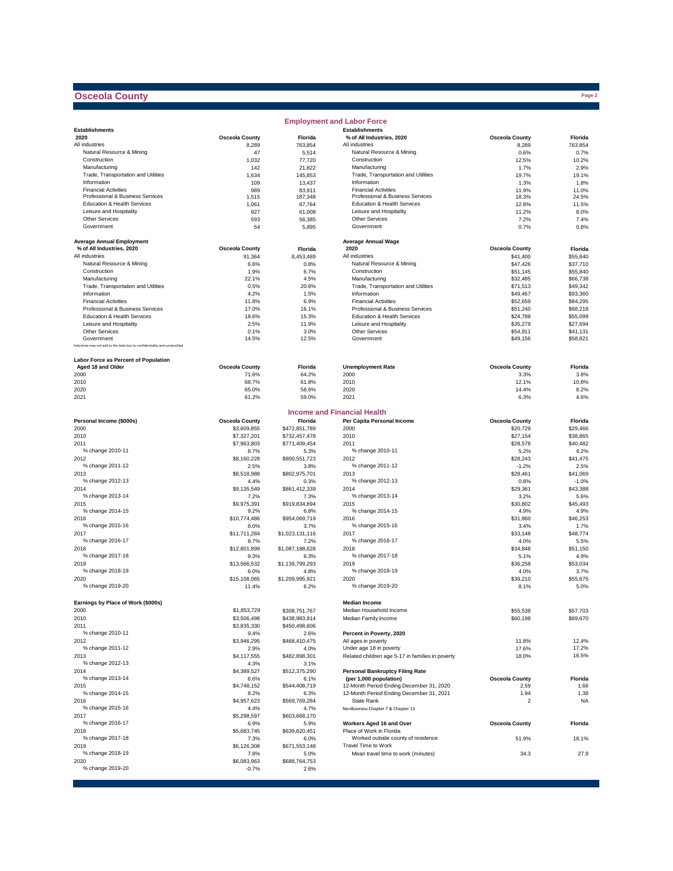## **Osceola County**

|                                                                              |                       |                   | <b>Employment and Labor Force</b>                    |                       |               |
|------------------------------------------------------------------------------|-----------------------|-------------------|------------------------------------------------------|-----------------------|---------------|
| <b>Establishments</b>                                                        |                       |                   | <b>Establishments</b>                                |                       |               |
| 2020                                                                         | <b>Osceola County</b> | Florida           | % of All Industries, 2020                            | <b>Osceola County</b> | Florida       |
| All industries                                                               | 8,289                 | 763,854           | All industries                                       | 8,289                 | 763,854       |
| Natural Resource & Mining                                                    | 47                    | 5,514             | Natural Resource & Mining                            | 0.6%                  | 0.7%          |
| Construction                                                                 | 1,032                 | 77,720            | Construction                                         | 12.5%                 | 10.2%         |
| Manufacturing<br>Trade, Transportation and Utilities                         | 142                   | 21,822            | Manufacturing<br>Trade, Transportation and Utilities | 1.7%                  | 2.9%          |
|                                                                              | 1,634                 | 145,853           | Information                                          | 19.7%                 | 19.1%         |
| Information<br><b>Financial Activities</b>                                   | 109                   | 13,437            | <b>Financial Activities</b>                          | 1.3%                  | 1.8%<br>11.0% |
| Professional & Business Services                                             | 989<br>1,515          | 83,911<br>187,348 | Professional & Business Services                     | 11.9%<br>18.3%        | 24.5%         |
| Education & Health Services                                                  | 1,061                 | 87,764            | Education & Health Services                          | 12.8%                 | 11.5%         |
| Leisure and Hospitality                                                      | 927                   | 61,008            | Leisure and Hospitality                              | 11.2%                 | 8.0%          |
| Other Services                                                               | 593                   | 56,385            | Other Services                                       | 7.2%                  | 7.4%          |
| Government                                                                   | 54                    | 5,895             | Government                                           | 0.7%                  | 0.8%          |
|                                                                              |                       |                   |                                                      |                       |               |
| <b>Average Annual Employment</b>                                             |                       |                   | <b>Average Annual Wage</b>                           |                       |               |
| % of All Industries, 2020                                                    | <b>Osceola County</b> | Florida           | 2020                                                 | <b>Osceola County</b> | Florida       |
| All industries                                                               | 91,364                | 8,453,489         | All industries                                       | \$41,400              | \$55,840      |
| Natural Resource & Mining                                                    | 6.6%                  | 0.8%              | Natural Resource & Mining                            | \$47,426              | \$37,710      |
| Construction                                                                 | 1.9%                  | 6.7%              | Construction                                         | \$51,145              | \$55,840      |
| Manufacturing                                                                | 22.1%                 | 4.5%              | Manufacturing                                        | \$32,485              | \$66,738      |
| Trade, Transportation and Utilities                                          | 0.5%                  | 20.6%             | Trade, Transportation and Utilities                  | \$71,513              | \$49,342      |
| Information                                                                  | 4.2%                  | 1.5%              | Information                                          | \$49,467              | \$93,360      |
| <b>Financial Activities</b>                                                  | 11.8%                 | 6.9%              | <b>Financial Activities</b>                          | \$52,659              | \$84,295      |
| Professional & Business Services                                             | 17.0%                 | 16.1%             | Professional & Business Services                     | \$51,240              | \$68,218      |
| Education & Health Services                                                  | 18.6%                 | 15.3%             | Education & Health Services                          | \$24,788              | \$55,099      |
| Leisure and Hospitality                                                      | 2.5%                  | 11.9%             | Leisure and Hospitality                              | \$35,279              | \$27,694      |
| Other Services                                                               | 0.1%                  | 3.0%              | Other Services                                       | \$54,911              | \$41,131      |
| Government                                                                   | 14.5%                 | 12.5%             | Government                                           | \$49,156              | \$58,821      |
| Industries may not add to the total due to confidentiality and unclassified. |                       |                   |                                                      |                       |               |
|                                                                              |                       |                   |                                                      |                       |               |
| Labor Force as Percent of Population                                         |                       |                   |                                                      |                       |               |
| Aged 18 and Older                                                            | <b>Osceola County</b> | Florida           | <b>Unemployment Rate</b>                             | <b>Osceola County</b> | Florida       |
| 2000                                                                         | 71.6%                 | 64.2%             | 2000                                                 | 3.3%                  | 3.8%          |
| 2010                                                                         | 68.7%                 | 61.8%             | 2010                                                 | 12.1%                 | 10.8%         |
| 2020                                                                         | 65.0%                 | 58.6%             | 2020                                                 | 14.4%                 | 8.2%          |
| 2021                                                                         | 61.2%                 | 59.0%             | 2021                                                 | 6.3%                  | 4.6%          |
|                                                                              |                       |                   |                                                      |                       |               |
|                                                                              |                       |                   | <b>Income and Financial Health</b>                   |                       |               |
| Personal Income (\$000s)                                                     | <b>Osceola County</b> | Florida           | Per Capita Personal Income                           | <b>Osceola County</b> | Florida       |
| 2000                                                                         | \$3,609.855           | \$472,851,789     | 2000                                                 | \$20,729              | \$29,466      |
| 2010                                                                         | \$7,327,201           | \$732,457,478     | 2010                                                 | \$27,154              | \$38,865      |
| 2011                                                                         | \$7,963,803           | \$771,409,454     | 2011                                                 | \$28,578              | \$40,482      |
| % change 2010-11                                                             | 8.7%                  | 5.3%              | % change 2010-11                                     | 5.2%                  | 4.2%          |
| 2012                                                                         | \$8,160,228           | \$800,551,723     | 2012                                                 | \$28,243              | \$41,475      |
| % change 2011-12                                                             | 2.5%                  | 3.8%              | % change 2011-12                                     | $-1.2%$               | 2.5%          |
| 2013                                                                         | \$8,518,988           | \$802,975,701     | 2013                                                 | \$28,461              | \$41,069      |
| % change 2012-13                                                             | 4.4%                  | 0.3%              | % change 2012-13                                     | 0.8%                  | $-1.0%$       |
| 2014                                                                         | \$9,135,549           | \$861,412,339     | 2014                                                 | \$29,361              | \$43,388      |
| % change 2013-14                                                             | 7.2%                  | 7.3%              | % change 2013-14                                     | 3.2%                  | 5.6%          |
| 2015                                                                         | \$9,975,391           | \$919,834,894     | 2015                                                 | \$30,802              | \$45,493      |
| % change 2014-15                                                             | 9.2%                  | 6.8%              | % change 2014-15                                     | 4.9%                  | 4.9%          |
| 2016                                                                         | \$10,774,486          | \$954,069,719     | 2016                                                 | \$31,860              | \$46,253      |
| % change 2015-16                                                             | 8.0%                  | 3.7%              | % change 2015-16                                     | 3.4%                  | 1.7%          |
| 2017                                                                         | \$11,711,284          | \$1,023,131,116   | 2017                                                 | \$33,148              | \$48,774      |
| % change 2016-17                                                             | 8.7%                  | 7.2%              | % change 2016-17                                     | 4.0%                  | 5.5%          |
| 2018                                                                         | \$12,801,899          | \$1,087,188,628   | 2018                                                 | \$34,848              | \$51,150      |
| % change 2017-18                                                             | 9.3%                  | 6.3%              | % change 2017-18                                     | 5.1%                  | 4.9%          |
| 2019                                                                         | \$13,566,532          | \$1,139,799,293   | 2019                                                 | \$36,258              | \$53,034      |
| % change 2018-19                                                             | 6.0%                  | 4.8%              | % change 2018-19                                     | 4.0%                  | 3.7%          |
| 2020                                                                         | \$15,108,065          | \$1,209,995,921   | 2020                                                 | \$39,210              | \$55,675      |
| % change 2019-20                                                             | 11.4%                 | 6.2%              | % change 2019-20                                     | 8.1%                  | 5.0%          |
|                                                                              |                       |                   |                                                      |                       |               |
| Earnings by Place of Work (\$000s)                                           |                       |                   | <b>Median Income</b>                                 |                       |               |
| 2000                                                                         | \$1,853,729           | \$308,751,767     | Median Household Income                              | \$55,538              | \$57,703      |
| 2010                                                                         | \$3,506,498           | \$438,983,914     | Median Family Income                                 | \$60,198              | \$69,670      |
| 2011                                                                         | \$3,835,330           | \$450,498,606     |                                                      |                       |               |
| % change 2010-11                                                             | 9.4%                  | 2.6%              | Percent in Poverty, 2020                             |                       |               |
| 2012                                                                         | \$3,946,295           | \$468,410,475     | All ages in poverty                                  | 11.8%                 | 12.4%         |
| % change 2011-12                                                             | 2.9%                  | 4.0%              | Under age 18 in poverty                              | 17.6%                 | 17.2%         |
| 2013                                                                         | \$4,117,555           | \$482,898,301     | Related children age 5-17 in families in poverty     | 18.0%                 | 16.5%         |
| % change 2012-13                                                             | 4.3%                  | 3.1%              |                                                      |                       |               |
| 2014                                                                         | \$4,389,527           | \$512,375,290     | <b>Personal Bankruptcy Filing Rate</b>               |                       |               |
| % change 2013-14                                                             | 6.6%                  | 6.1%              | (per 1,000 population)                               | <b>Osceola County</b> | Florida       |
| 2015                                                                         | \$4,748,152           | \$544,408,719     | 12-Month Period Ending December 31, 2020             | 2.59                  | 1.66          |
| % change 2014-15                                                             | 8.2%                  | 6.3%              | 12-Month Period Ending December 31, 2021             | 1.94                  | 1.38          |
| 2016                                                                         | \$4,957,623           | \$569,769,284     | State Rank                                           | $\overline{2}$        | <b>NA</b>     |
| % change 2015-16                                                             | 4.4%                  | 4.7%              | NonBusiness Chapter 7 & Chapter 13                   |                       |               |
| 2017                                                                         | \$5,298,597           | \$603,668,170     |                                                      |                       |               |
| % change 2016-17                                                             | 6.9%                  | 5.9%              | Workers Aged 16 and Over                             | <b>Osceola County</b> | Florida       |
| 2018                                                                         | \$5,683,745           | \$639,620,451     | Place of Work in Florida                             |                       |               |
| % change 2017-18                                                             | 7.3%                  | 6.0%              | Worked outside county of residence                   | 51.9%                 | 18.1%         |
| 2019                                                                         | \$6,126,308           | \$671,553,148     | Travel Time to Work                                  |                       |               |
| % change 2018-19                                                             | 7.8%                  | 5.0%              | Mean travel time to work (minutes)                   | 34.3                  | 27.9          |
| 2020                                                                         | \$6,083,963           | \$688,764,753     |                                                      |                       |               |
| % change 2019-20                                                             | $-0.7%$               | 2.6%              |                                                      |                       |               |